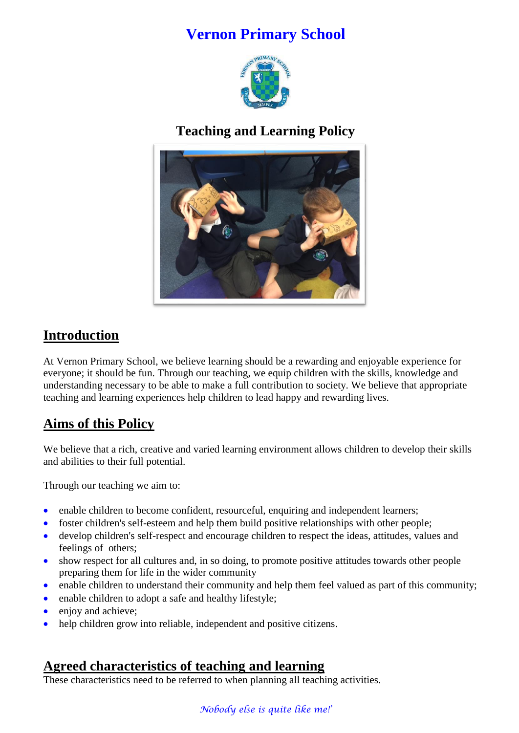# **Vernon Primary School**



## **Teaching and Learning Policy**



# **Introduction**

At Vernon Primary School, we believe learning should be a rewarding and enjoyable experience for everyone; it should be fun. Through our teaching, we equip children with the skills, knowledge and understanding necessary to be able to make a full contribution to society. We believe that appropriate teaching and learning experiences help children to lead happy and rewarding lives.

# **Aims of this Policy**

We believe that a rich, creative and varied learning environment allows children to develop their skills and abilities to their full potential.

Through our teaching we aim to:

- enable children to become confident, resourceful, enquiring and independent learners;
- foster children's self-esteem and help them build positive relationships with other people;
- develop children's self-respect and encourage children to respect the ideas, attitudes, values and feelings of others;
- show respect for all cultures and, in so doing, to promote positive attitudes towards other people preparing them for life in the wider community
- enable children to understand their community and help them feel valued as part of this community;
- enable children to adopt a safe and healthy lifestyle;
- enjoy and achieve;
- help children grow into reliable, independent and positive citizens.

### **Agreed characteristics of teaching and learning**

These characteristics need to be referred to when planning all teaching activities.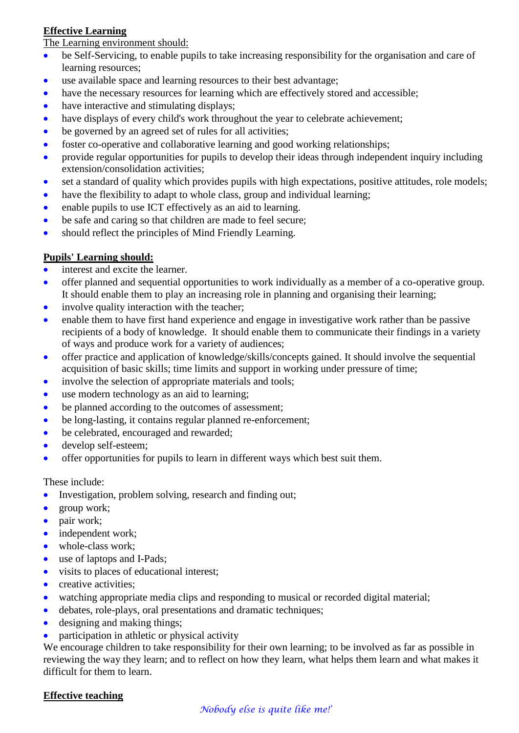#### **Effective Learning**

#### The Learning environment should:

- be Self-Servicing, to enable pupils to take increasing responsibility for the organisation and care of learning resources;
- use available space and learning resources to their best advantage;
- have the necessary resources for learning which are effectively stored and accessible;
- have interactive and stimulating displays;
- have displays of every child's work throughout the year to celebrate achievement;
- be governed by an agreed set of rules for all activities;
- foster co-operative and collaborative learning and good working relationships;
- provide regular opportunities for pupils to develop their ideas through independent inquiry including extension/consolidation activities;
- set a standard of quality which provides pupils with high expectations, positive attitudes, role models;
- have the flexibility to adapt to whole class, group and individual learning;
- enable pupils to use ICT effectively as an aid to learning.
- be safe and caring so that children are made to feel secure;
- should reflect the principles of Mind Friendly Learning.

#### **Pupils' Learning should:**

- interest and excite the learner.
- offer planned and sequential opportunities to work individually as a member of a co-operative group. It should enable them to play an increasing role in planning and organising their learning;
- involve quality interaction with the teacher;
- enable them to have first hand experience and engage in investigative work rather than be passive recipients of a body of knowledge. It should enable them to communicate their findings in a variety of ways and produce work for a variety of audiences;
- offer practice and application of knowledge/skills/concepts gained. It should involve the sequential acquisition of basic skills; time limits and support in working under pressure of time;
- involve the selection of appropriate materials and tools;
- use modern technology as an aid to learning;
- be planned according to the outcomes of assessment;
- be long-lasting, it contains regular planned re-enforcement;
- be celebrated, encouraged and rewarded;
- develop self-esteem;
- offer opportunities for pupils to learn in different ways which best suit them.

#### These include:

- Investigation, problem solving, research and finding out;
- group work;
- pair work;
- independent work;
- whole-class work;
- use of laptops and I-Pads;
- visits to places of educational interest;
- creative activities;
- watching appropriate media clips and responding to musical or recorded digital material;
- debates, role-plays, oral presentations and dramatic techniques;
- designing and making things;
- participation in athletic or physical activity

We encourage children to take responsibility for their own learning; to be involved as far as possible in reviewing the way they learn; and to reflect on how they learn, what helps them learn and what makes it difficult for them to learn.

#### **Effective teaching**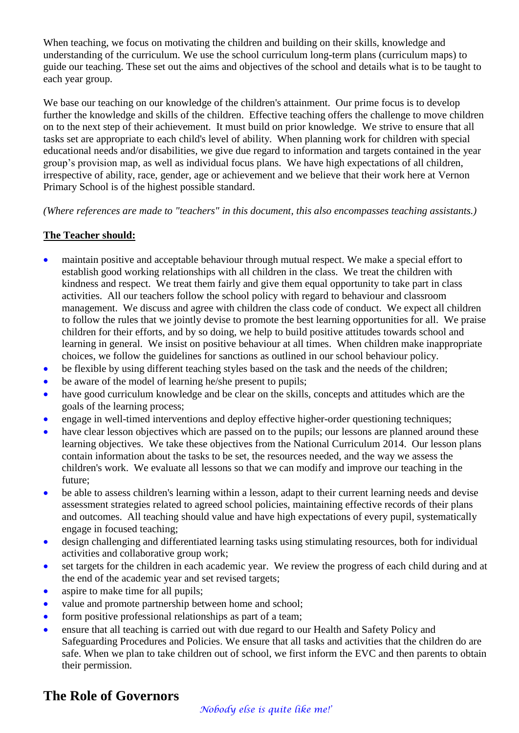When teaching, we focus on motivating the children and building on their skills, knowledge and understanding of the curriculum. We use the school curriculum long-term plans (curriculum maps) to guide our teaching. These set out the aims and objectives of the school and details what is to be taught to each year group.

We base our teaching on our knowledge of the children's attainment. Our prime focus is to develop further the knowledge and skills of the children. Effective teaching offers the challenge to move children on to the next step of their achievement. It must build on prior knowledge. We strive to ensure that all tasks set are appropriate to each child's level of ability. When planning work for children with special educational needs and/or disabilities, we give due regard to information and targets contained in the year group's provision map, as well as individual focus plans. We have high expectations of all children, irrespective of ability, race, gender, age or achievement and we believe that their work here at Vernon Primary School is of the highest possible standard.

*(Where references are made to "teachers" in this document, this also encompasses teaching assistants.)*

#### **The Teacher should:**

- maintain positive and acceptable behaviour through mutual respect. We make a special effort to establish good working relationships with all children in the class. We treat the children with kindness and respect. We treat them fairly and give them equal opportunity to take part in class activities. All our teachers follow the school policy with regard to behaviour and classroom management. We discuss and agree with children the class code of conduct. We expect all children to follow the rules that we jointly devise to promote the best learning opportunities for all. We praise children for their efforts, and by so doing, we help to build positive attitudes towards school and learning in general. We insist on positive behaviour at all times. When children make inappropriate choices, we follow the guidelines for sanctions as outlined in our school behaviour policy.
- be flexible by using different teaching styles based on the task and the needs of the children;
- be aware of the model of learning he/she present to pupils;
- have good curriculum knowledge and be clear on the skills, concepts and attitudes which are the goals of the learning process;
- engage in well-timed interventions and deploy effective higher-order questioning techniques;
- have clear lesson objectives which are passed on to the pupils; our lessons are planned around these learning objectives. We take these objectives from the National Curriculum 2014. Our lesson plans contain information about the tasks to be set, the resources needed, and the way we assess the children's work. We evaluate all lessons so that we can modify and improve our teaching in the future;
- be able to assess children's learning within a lesson, adapt to their current learning needs and devise assessment strategies related to agreed school policies, maintaining effective records of their plans and outcomes. All teaching should value and have high expectations of every pupil, systematically engage in focused teaching;
- design challenging and differentiated learning tasks using stimulating resources, both for individual activities and collaborative group work;
- set targets for the children in each academic year. We review the progress of each child during and at the end of the academic year and set revised targets;
- aspire to make time for all pupils;
- value and promote partnership between home and school;
- form positive professional relationships as part of a team;
- ensure that all teaching is carried out with due regard to our Health and Safety Policy and Safeguarding Procedures and Policies. We ensure that all tasks and activities that the children do are safe. When we plan to take children out of school, we first inform the EVC and then parents to obtain their permission.

### **The Role of Governors**